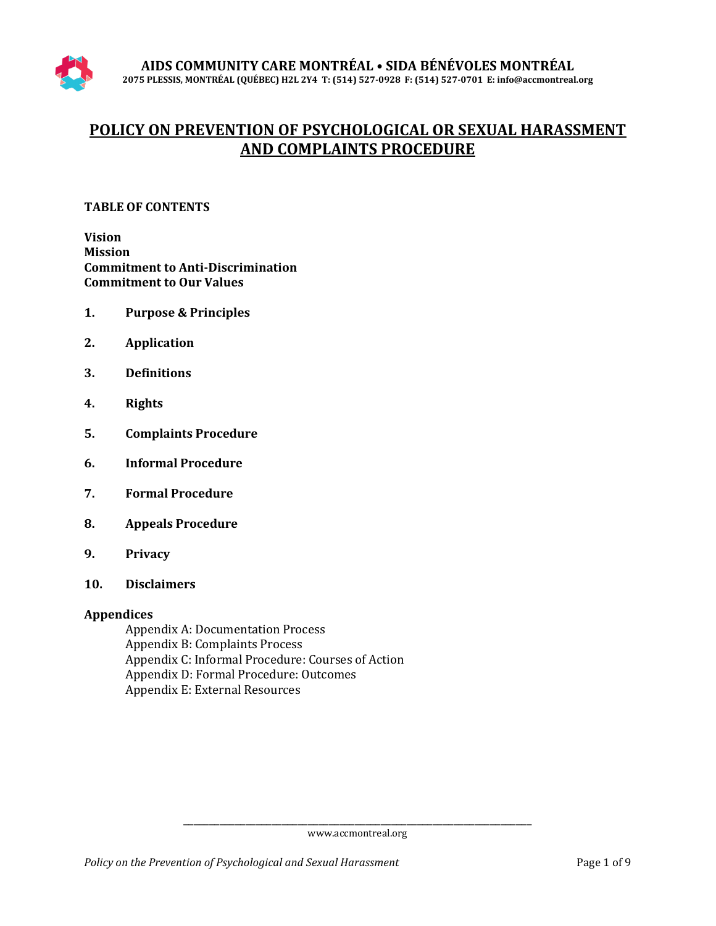# **POLICY ON PREVENTION OF PSYCHOLOGICAL OR SEXUAL HARASSMENT AND COMPLAINTS PROCEDURE**

## **TABLE OF CONTENTS**

**Vision Mission Commitment to Anti-Discrimination Commitment to Our Values**

- **1. Purpose & Principles**
- **2. Application**
- **3. Definitions**
- **4. Rights**
- **5. Complaints Procedure**
- **6. Informal Procedure**
- **7. Formal Procedure**
- **8. Appeals Procedure**
- **9. Privacy**
- **10. Disclaimers**

## **Appendices**

Appendix A: Documentation Process Appendix B: Complaints Process Appendix C: Informal Procedure: Courses of Action Appendix D: Formal Procedure: Outcomes Appendix E: External Resources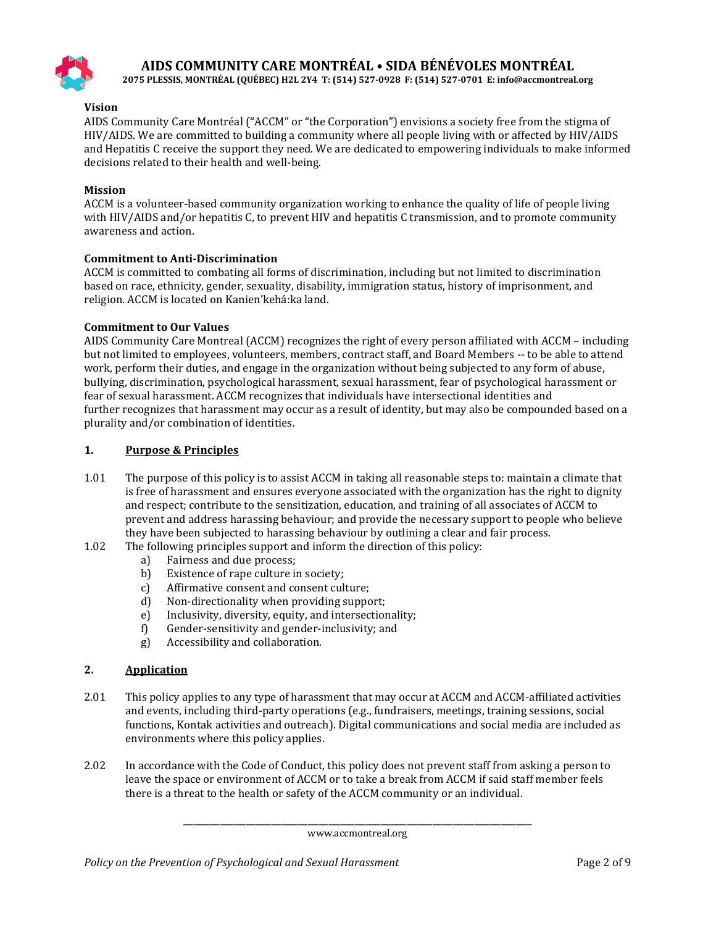

**2075 PLESSIS, MONTRÉAL (QUÉBEC) H2L 2Y4 T: (514) 527-0928 F: (514) 527-0701 E: info@accmontreal.org**

#### **Vision**

AIDS Community Care Montréal ("ACCM" or "the Corporation") envisions a society free from the stigma of HIV/AIDS. We are committed to building a community where all people living with or affected by HIV/AIDS and Hepatitis C receive the support they need. We are dedicated to empowering individuals to make informed decisions related to their health and well-being.

#### **Mission**

ACCM is a volunteer-based community organization working to enhance the quality of life of people living with HIV/AIDS and/or hepatitis C, to prevent HIV and hepatitis C transmission, and to promote community awareness and action.

#### **Commitment to Anti-Discrimination**

ACCM is committed to combating all forms of discrimination, including but not limited to discrimination based on race, ethnicity, gender, sexuality, disability, immigration status, history of imprisonment, and religion. ACCM is located on Kanien'kehá:ka land.

#### **Commitment to Our Values**

AIDS Community Care Montreal (ACCM) recognizes the right of every person affiliated with ACCM – including but not limited to employees, volunteers, members, contract staff, and Board Members -- to be able to attend work, perform their duties, and engage in the organization without being subjected to any form of abuse, bullying, discrimination, psychological harassment, sexual harassment, fear of psychological harassment or fear of sexual harassment. ACCM recognizes that individuals have intersectional identities and further recognizes that harassment may occur as a result of identity, but may also be compounded based on a plurality and/or combination of identities.

#### **1. Purpose & Principles**

- 1.01 The purpose of this policy is to assist ACCM in taking all reasonable steps to: maintain a climate that is free of harassment and ensures everyone associated with the organization has the right to dignity and respect; contribute to the sensitization, education, and training of all associates of ACCM to prevent and address harassing behaviour; and provide the necessary support to people who believe they have been subjected to harassing behaviour by outlining a clear and fair process.
- 1.02 The following principles support and inform the direction of this policy:<br>a) Fairness and due process:
	- a) Fairness and due process;<br>b) Existence of rape culture is
	- b) Existence of rape culture in society;<br>c) Affirmative consent and consent cul
	- c) Affirmative consent and consent culture;<br>d) Non-directionality when providing suppo
	-
	- d) Non-directionality when providing support;<br>e) Inclusivity, diversity, equity, and intersection e) Inclusivity, diversity, equity, and intersectionality;<br>f) Gender-sensitivity and gender-inclusivity; and
	- f) Gender-sensitivity and gender-inclusivity; and
	- Accessibility and collaboration.

#### **2. Application**

- 2.01 This policy applies to any type of harassment that may occur at ACCM and ACCM-affiliated activities and events, including third-party operations (e.g., fundraisers, meetings, training sessions, social functions, Kontak activities and outreach). Digital communications and social media are included as environments where this policy applies.
- 2.02 In accordance with the Code of Conduct, this policy does not prevent staff from asking a person to leave the space or environment of ACCM or to take a break from ACCM if said staff member feels there is a threat to the health or safety of the ACCM community or an individual.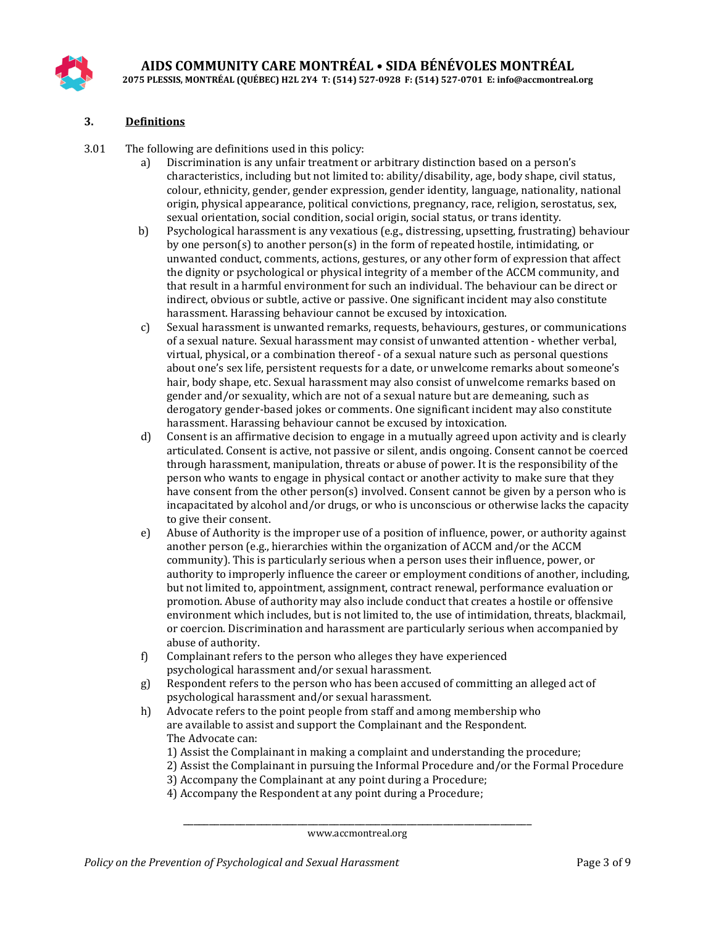

#### **3. Definitions**

- 3.01 The following are definitions used in this policy:<br>a) Discrimination is any unfair treatment of
	- Discrimination is any unfair treatment or arbitrary distinction based on a person's characteristics, including but not limited to: ability/disability, age, body shape, civil status, colour, ethnicity, gender, gender expression, gender identity, language, nationality, national origin, physical appearance, political convictions, pregnancy, race, religion, serostatus, sex, sexual orientation, social condition, social origin, social status, or trans identity.
	- b) Psychological harassment is any vexatious (e.g., distressing, upsetting, frustrating) behaviour by one person(s) to another person(s) in the form of repeated hostile, intimidating, or unwanted conduct, comments, actions, gestures, or any other form of expression that affect the dignity or psychological or physical integrity of a member of the ACCM community, and that result in a harmful environment for such an individual. The behaviour can be direct or indirect, obvious or subtle, active or passive. One significant incident may also constitute harassment. Harassing behaviour cannot be excused by intoxication.
	- c) Sexual harassment is unwanted remarks, requests, behaviours, gestures, or communications of a sexual nature. Sexual harassment may consist of unwanted attention - whether verbal, virtual, physical, or a combination thereof - of a sexual nature such as personal questions about one's sex life, persistent requests for a date, or unwelcome remarks about someone's hair, body shape, etc. Sexual harassment may also consist of unwelcome remarks based on gender and/or sexuality, which are not of a sexual nature but are demeaning, such as derogatory gender-based jokes or comments. One significant incident may also constitute harassment. Harassing behaviour cannot be excused by intoxication.
	- d) Consent is an affirmative decision to engage in a mutually agreed upon activity and is clearly articulated. Consent is active, not passive or silent, andis ongoing. Consent cannot be coerced through harassment, manipulation, threats or abuse of power. It is the responsibility of the person who wants to engage in physical contact or another activity to make sure that they have consent from the other person(s) involved. Consent cannot be given by a person who is incapacitated by alcohol and/or drugs, or who is unconscious or otherwise lacks the capacity to give their consent.
	- e) Abuse of Authority is the improper use of a position of influence, power, or authority against another person (e.g., hierarchies within the organization of ACCM and/or the ACCM community). This is particularly serious when a person uses their influence, power, or authority to improperly influence the career or employment conditions of another, including, but not limited to, appointment, assignment, contract renewal, performance evaluation or promotion. Abuse of authority may also include conduct that creates a hostile or offensive environment which includes, but is not limited to, the use of intimidation, threats, blackmail, or coercion. Discrimination and harassment are particularly serious when accompanied by abuse of authority.
	- f) Complainant refers to the person who alleges they have experienced psychological harassment and/or sexual harassment.
	- g) Respondent refers to the person who has been accused of committing an alleged act of psychological harassment and/or sexual harassment.
	- h) Advocate refers to the point people from staff and among membership who are available to assist and support the Complainant and the Respondent. The Advocate can:
		- 1) Assist the Complainant in making a complaint and understanding the procedure;
		- 2) Assist the Complainant in pursuing the Informal Procedure and/or the Formal Procedure
		- 3) Accompany the Complainant at any point during a Procedure;
		- 4) Accompany the Respondent at any point during a Procedure;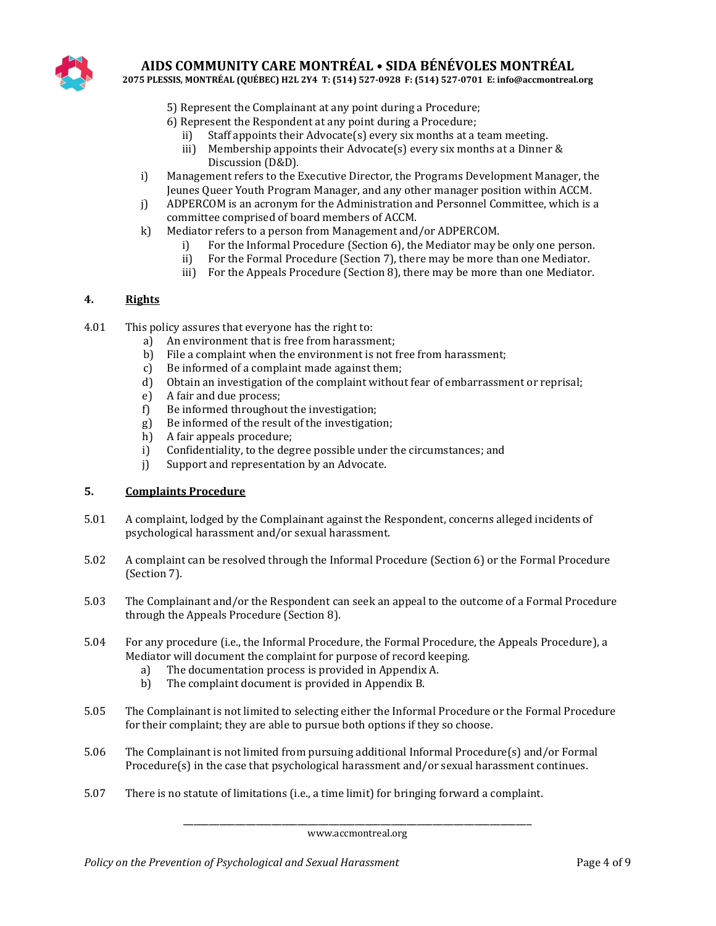

**2075 PLESSIS, MONTRÉAL (QUÉBEC) H2L 2Y4 T: (514) 527-0928 F: (514) 527-0701 E: info@accmontreal.org**

- 5) Represent the Complainant at any point during a Procedure;
- 6) Represent the Respondent at any point during a Procedure;<br>ii) Staff appoints their Advocate(s) every six months at a
	- ii) Staff appoints their Advocate(s) every six months at a team meeting.<br>iii) Membership appoints their Advocate(s) every six months at a Dinner
	- Membership appoints their Advocate(s) every six months at a Dinner & Discussion (D&D).
- i) Management refers to the Executive Director, the Programs Development Manager, the Jeunes Queer Youth Program Manager, and any other manager position within ACCM.
- j) ADPERCOM is an acronym for the Administration and Personnel Committee, which is a committee comprised of board members of ACCM.
- k) Mediator refers to a person from Management and/or ADPERCOM.<br>i) For the Informal Procedure (Section 6), the Mediator may b
	- i) For the Informal Procedure (Section 6), the Mediator may be only one person.<br>ii) For the Formal Procedure (Section 7), there may be more than one Mediator.
	- For the Formal Procedure (Section 7), there may be more than one Mediator.
	- iii) For the Appeals Procedure (Section 8), there may be more than one Mediator.

#### **4. Rights**

- 4.01 This policy assures that everyone has the right to:<br>a) An environment that is free from harassm
	- An environment that is free from harassment;
	- b) File a complaint when the environment is not free from harassment;
	- c) Be informed of a complaint made against them;
	- d) Obtain an investigation of the complaint without fear of embarrassment or reprisal;<br>e) A fair and due process;
	- e) A fair and due process;<br>f) Be informed throughou
	- f) Be informed throughout the investigation;<br>g) Be informed of the result of the investigation
	- g) Be informed of the result of the investigation;<br>h) A fair appeals procedure;
	- h) A fair appeals procedure;<br>i) Confidentiality, to the deg
	- i) Confidentiality, to the degree possible under the circumstances; and <br>i) Support and representation by an Advocate.
	- Support and representation by an Advocate.

#### **5. Complaints Procedure**

- 5.01 A complaint, lodged by the Complainant against the Respondent, concerns alleged incidents of psychological harassment and/or sexual harassment.
- 5.02 A complaint can be resolved through the Informal Procedure (Section 6) or the Formal Procedure (Section 7).
- 5.03 The Complainant and/or the Respondent can seek an appeal to the outcome of a Formal Procedure through the Appeals Procedure (Section 8).
- 5.04 For any procedure (i.e., the Informal Procedure, the Formal Procedure, the Appeals Procedure), a Mediator will document the complaint for purpose of record keeping.<br>
a) The documentation process is provided in Appendix A.
	- a) The documentation process is provided in Appendix A.<br>b) The complaint document is provided in Appendix B.
	- The complaint document is provided in Appendix B.
- 5.05 The Complainant is not limited to selecting either the Informal Procedure or the Formal Procedure for their complaint; they are able to pursue both options if they so choose.
- 5.06 The Complainant is not limited from pursuing additional Informal Procedure(s) and/or Formal Procedure(s) in the case that psychological harassment and/or sexual harassment continues.
- 5.07 There is no statute of limitations (i.e., a time limit) for bringing forward a complaint.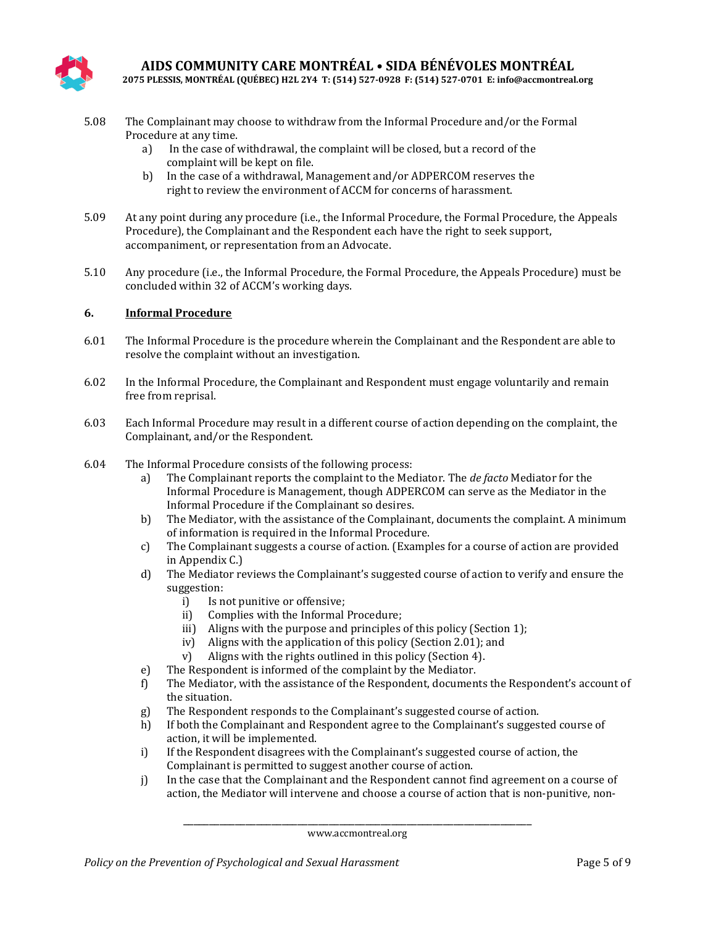

**2075 PLESSIS, MONTRÉAL (QUÉBEC) H2L 2Y4 T: (514) 527-0928 F: (514) 527-0701 E: info@accmontreal.org**

- 5.08 The Complainant may choose to withdraw from the Informal Procedure and/or the Formal Procedure at any time.<br>a) In the case of v
	- In the case of withdrawal, the complaint will be closed, but a record of the complaint will be kept on file.
	- b) In the case of a withdrawal, Management and/or ADPERCOM reserves the right to review the environment of ACCM for concerns of harassment.
- 5.09 At any point during any procedure (i.e., the Informal Procedure, the Formal Procedure, the Appeals Procedure), the Complainant and the Respondent each have the right to seek support, accompaniment, or representation from an Advocate.
- 5.10 Any procedure (i.e., the Informal Procedure, the Formal Procedure, the Appeals Procedure) must be concluded within 32 of ACCM's working days.

#### **6. Informal Procedure**

- 6.01 The Informal Procedure is the procedure wherein the Complainant and the Respondent are able to resolve the complaint without an investigation.
- 6.02 In the Informal Procedure, the Complainant and Respondent must engage voluntarily and remain free from reprisal.
- 6.03 Each Informal Procedure may result in a different course of action depending on the complaint, the Complainant, and/or the Respondent.
- 6.04 The Informal Procedure consists of the following process:
	- a) The Complainant reports the complaint to the Mediator. The *de facto* Mediator for the Informal Procedure is Management, though ADPERCOM can serve as the Mediator in the Informal Procedure if the Complainant so desires.
	- b) The Mediator, with the assistance of the Complainant, documents the complaint. A minimum of information is required in the Informal Procedure.
	- c) The Complainant suggests a course of action. (Examples for a course of action are provided in Appendix C.)
	- d) The Mediator reviews the Complainant's suggested course of action to verify and ensure the suggestion:<br>i) Is n
		- i) Is not punitive or offensive;<br>ii) Complies with the Informal
		- Complies with the Informal Procedure:
		- iii) Aligns with the purpose and principles of this policy (Section 1);
		- iv) Aligns with the application of this policy (Section 2.01); and v) Aligns with the rights outlined in this policy (Section 4).
		- Aligns with the rights outlined in this policy (Section 4).
	- e) The Respondent is informed of the complaint by the Mediator.<br>f) The Mediator, with the assistance of the Respondent, documen
	- f) The Mediator, with the assistance of the Respondent, documents the Respondent's account of the situation.
	- g) The Respondent responds to the Complainant's suggested course of action.<br>
	h) If both the Complainant and Respondent agree to the Complainant's sugges
	- If both the Complainant and Respondent agree to the Complainant's suggested course of action, it will be implemented.
	- i) If the Respondent disagrees with the Complainant's suggested course of action, the Complainant is permitted to suggest another course of action.
	- j) In the case that the Complainant and the Respondent cannot find agreement on a course of action, the Mediator will intervene and choose a course of action that is non-punitive, non-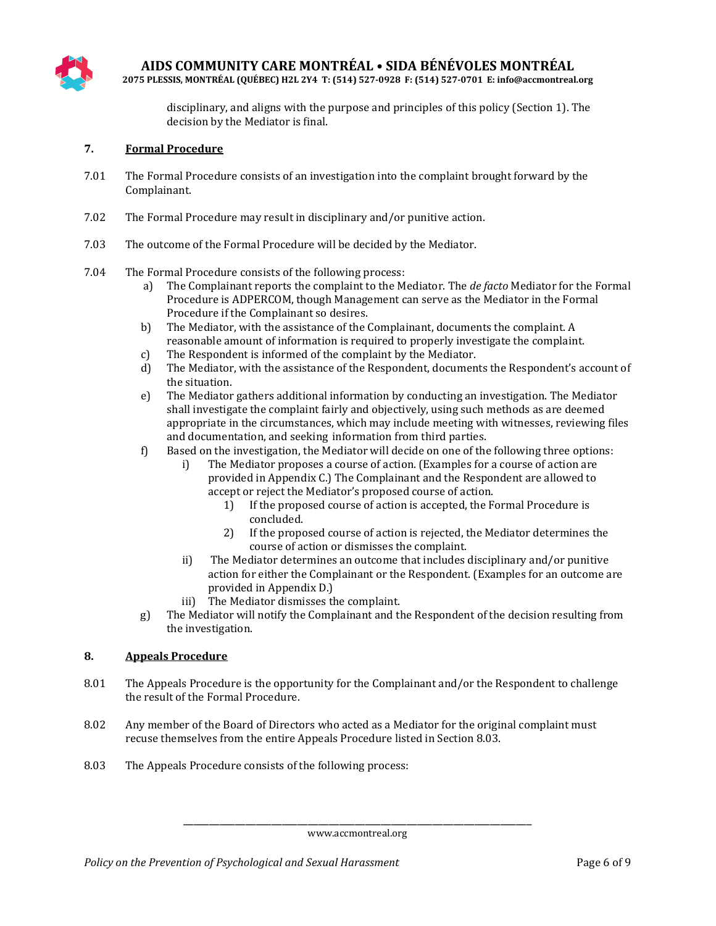

**2075 PLESSIS, MONTRÉAL (QUÉBEC) H2L 2Y4 T: (514) 527-0928 F: (514) 527-0701 E: info@accmontreal.org**

disciplinary, and aligns with the purpose and principles of this policy (Section 1). The decision by the Mediator is final.

#### **7. Formal Procedure**

- 7.01 The Formal Procedure consists of an investigation into the complaint brought forward by the Complainant.
- 7.02 The Formal Procedure may result in disciplinary and/or punitive action.
- 7.03 The outcome of the Formal Procedure will be decided by the Mediator.
- 7.04 The Formal Procedure consists of the following process:
	- a) The Complainant reports the complaint to the Mediator. The *de facto* Mediator for the Formal Procedure is ADPERCOM, though Management can serve as the Mediator in the Formal Procedure if the Complainant so desires.
	- b) The Mediator, with the assistance of the Complainant, documents the complaint. A reasonable amount of information is required to properly investigate the complaint.
	- c) The Respondent is informed of the complaint by the Mediator.<br>
	d) The Mediator, with the assistance of the Respondent, documen
	- The Mediator, with the assistance of the Respondent, documents the Respondent's account of the situation.
	- e) The Mediator gathers additional information by conducting an investigation. The Mediator shall investigate the complaint fairly and objectively, using such methods as are deemed appropriate in the circumstances, which may include meeting with witnesses, reviewing files and documentation, and seeking information from third parties.
	- f) Based on the investigation, the Mediator will decide on one of the following three options:
		- The Mediator proposes a course of action. (Examples for a course of action are provided in Appendix C.) The Complainant and the Respondent are allowed to accept or reject the Mediator's proposed course of action.
			- 1) If the proposed course of action is accepted, the Formal Procedure is concluded.
			- 2) If the proposed course of action is rejected, the Mediator determines the course of action or dismisses the complaint.
		- ii) The Mediator determines an outcome that includes disciplinary and/or punitive action for either the Complainant or the Respondent. (Examples for an outcome are provided in Appendix D.)
		- iii) The Mediator dismisses the complaint.
	- g) The Mediator will notify the Complainant and the Respondent of the decision resulting from the investigation.

#### **8. Appeals Procedure**

- 8.01 The Appeals Procedure is the opportunity for the Complainant and/or the Respondent to challenge the result of the Formal Procedure.
- 8.02 Any member of the Board of Directors who acted as a Mediator for the original complaint must recuse themselves from the entire Appeals Procedure listed in Section 8.03.
- 8.03 The Appeals Procedure consists of the following process: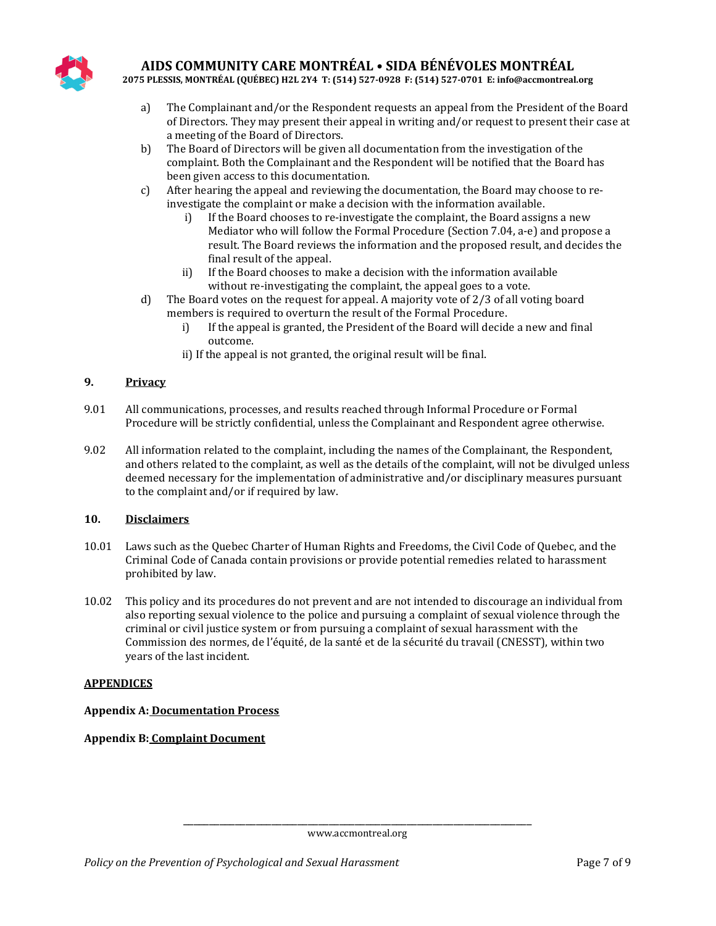

**2075 PLESSIS, MONTRÉAL (QUÉBEC) H2L 2Y4 T: (514) 527-0928 F: (514) 527-0701 E: info@accmontreal.org**

- a) The Complainant and/or the Respondent requests an appeal from the President of the Board of Directors. They may present their appeal in writing and/or request to present their case at a meeting of the Board of Directors.
- b) The Board of Directors will be given all documentation from the investigation of the complaint. Both the Complainant and the Respondent will be notified that the Board has been given access to this documentation.
- c) After hearing the appeal and reviewing the documentation, the Board may choose to reinvestigate the complaint or make a decision with the information available.<br>i) If the Board chooses to re-investigate the complaint, the Board assig
	- If the Board chooses to re-investigate the complaint, the Board assigns a new Mediator who will follow the Formal Procedure (Section 7.04, a-e) and propose a result. The Board reviews the information and the proposed result, and decides the final result of the appeal.
	- ii) If the Board chooses to make a decision with the information available without re-investigating the complaint, the appeal goes to a vote.
- d) The Board votes on the request for appeal. A majority vote of 2/3 of all voting board members is required to overturn the result of the Formal Procedure.<br>i) If the appeal is granted, the President of the Board will decident
	- If the appeal is granted, the President of the Board will decide a new and final outcome.
	- ii) If the appeal is not granted, the original result will be final.

## **9. Privacy**

- 9.01 All communications, processes, and results reached through Informal Procedure or Formal Procedure will be strictly confidential, unless the Complainant and Respondent agree otherwise.
- 9.02 All information related to the complaint, including the names of the Complainant, the Respondent, and others related to the complaint, as well as the details of the complaint, will not be divulged unless deemed necessary for the implementation of administrative and/or disciplinary measures pursuant to the complaint and/or if required by law.

#### **10. Disclaimers**

- 10.01 Laws such as the Quebec Charter of Human Rights and Freedoms, the Civil Code of Quebec, and the Criminal Code of Canada contain provisions or provide potential remedies related to harassment prohibited by law.
- 10.02 This policy and its procedures do not prevent and are not intended to discourage an individual from also reporting sexual violence to the police and pursuing a complaint of sexual violence through the criminal or civil justice system or from pursuing a complaint of sexual harassment with the Commission des normes, de l'équité, de la santé et de la sécurité du travail (CNESST), within two years of the last incident.

#### **APPENDICES**

#### **Appendix A: Documentation Process**

#### **Appendix B: Complaint Document**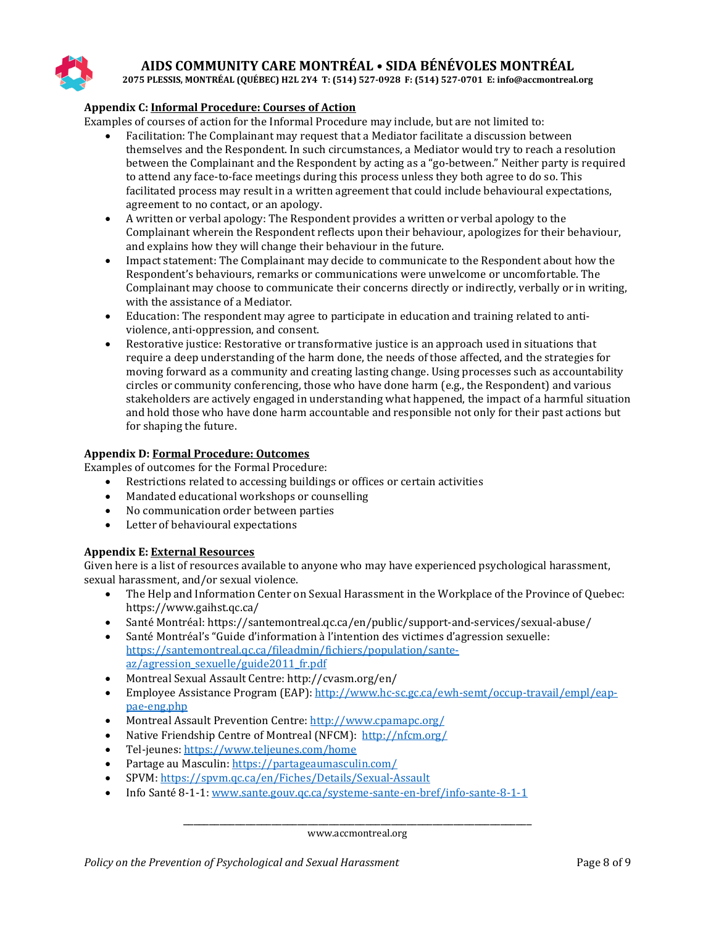

**2075 PLESSIS, MONTRÉAL (QUÉBEC) H2L 2Y4 T: (514) 527-0928 F: (514) 527-0701 E: info@accmontreal.org**

#### **Appendix C: Informal Procedure: Courses of Action**

Examples of courses of action for the Informal Procedure may include, but are not limited to:

- Facilitation: The Complainant may request that a Mediator facilitate a discussion between themselves and the Respondent. In such circumstances, a Mediator would try to reach a resolution between the Complainant and the Respondent by acting as a "go-between." Neither party is required to attend any face-to-face meetings during this process unless they both agree to do so. This facilitated process may result in a written agreement that could include behavioural expectations, agreement to no contact, or an apology.
- A written or verbal apology: The Respondent provides a written or verbal apology to the Complainant wherein the Respondent reflects upon their behaviour, apologizes for their behaviour, and explains how they will change their behaviour in the future.
- Impact statement: The Complainant may decide to communicate to the Respondent about how the Respondent's behaviours, remarks or communications were unwelcome or uncomfortable. The Complainant may choose to communicate their concerns directly or indirectly, verbally or in writing, with the assistance of a Mediator.
- Education: The respondent may agree to participate in education and training related to antiviolence, anti-oppression, and consent.
- Restorative justice: Restorative or transformative justice is an approach used in situations that require a deep understanding of the harm done, the needs of those affected, and the strategies for moving forward as a community and creating lasting change. Using processes such as accountability circles or community conferencing, those who have done harm (e.g., the Respondent) and various stakeholders are actively engaged in understanding what happened, the impact of a harmful situation and hold those who have done harm accountable and responsible not only for their past actions but for shaping the future.

#### **Appendix D: Formal Procedure: Outcomes**

Examples of outcomes for the Formal Procedure:<br>• Restrictions related to accessing building

- Restrictions related to accessing buildings or offices or certain activities
- Mandated educational workshops or counselling
- No communication order between parties
- Letter of behavioural expectations

#### **Appendix E: External Resources**

Given here is a list of resources available to anyone who may have experienced psychological harassment, sexual harassment, and/or sexual violence.

- The Help and Information Center on Sexual Harassment in the Workplace of the Province of Quebec: https://www.gaihst.qc.ca/
- Santé Montréal: https://santemontreal.qc.ca/en/public/support-and-services/sexual-abuse/<br>• Santé Montréal's "Guide d'information à l'intention des victimes d'agression sexuelle:
- Santé Montréal's "Guide d'information à l'intention des victimes d'agression sexuelle: [https://santemontreal.qc.ca/fileadmin/fichiers/population/sante](https://santemontreal.qc.ca/fileadmin/fichiers/population/sante-az/agression_sexuelle/guide2011_fr.pdf)[az/agression\\_sexuelle/guide2011\\_fr.pdf](https://santemontreal.qc.ca/fileadmin/fichiers/population/sante-az/agression_sexuelle/guide2011_fr.pdf)
- Montreal Sexual Assault Centre: http://cvasm.org/en/<br>• Employee Assistance Program (EAP): http://www.hc-s
- Employee Assistance Program (EAP): [http://www.hc-sc.gc.ca/ewh-semt/occup-travail/empl/eap](http://www.hc-sc.gc.ca/ewh-semt/occup-travail/empl/eap-pae-eng.php)[pae-eng.php](http://www.hc-sc.gc.ca/ewh-semt/occup-travail/empl/eap-pae-eng.php)
- Montreal Assault Prevention Centre: <http://www.cpamapc.org/>
- Native Friendship Centre of Montreal (NFCM):<http://nfcm.org/>
- Tel-jeunes[: https://www.teljeunes.com/home](https://www.teljeunes.com/home)<br>• Partage au Masculin: https://partageaumascul
- Partage au Masculin:<https://partageaumasculin.com/>
- SPVM[: https://spvm.qc.ca/en/Fiches/Details/Sexual-Assault](https://spvm.qc.ca/en/Fiches/Details/Sexual-Assault)
- Info Santé 8-1-1[: www.sante.gouv.qc.ca/systeme-sante-en-bref/info-sante-8-1-1](http://www.sante.gouv.qc.ca/systeme-sante-en-bref/info-sante-8-1-1)